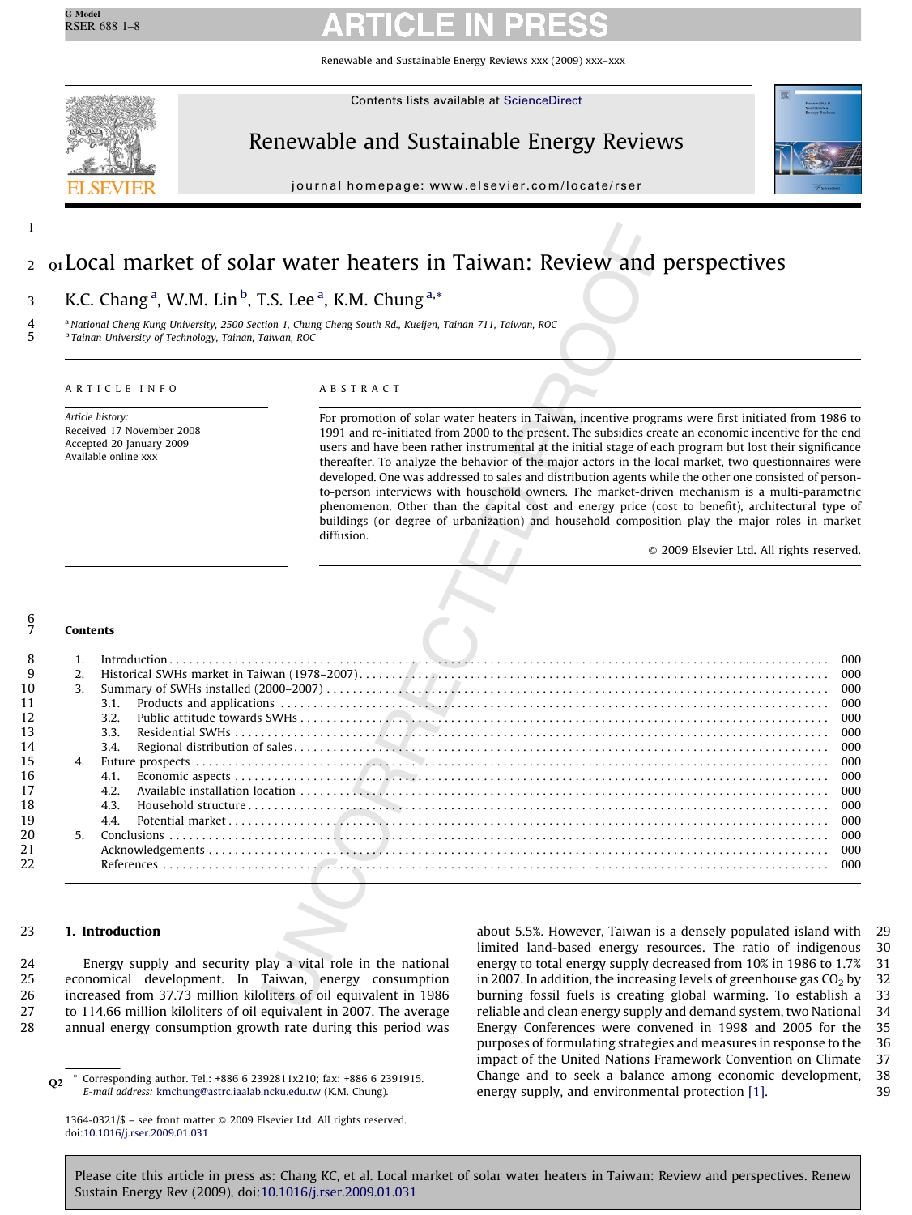Renewable and Sustainable Energy Reviews xxx (2009) xxx–xxx



1

Contents lists available at [ScienceDirect](http://www.sciencedirect.com/science/journal/13640321)

# Renewable and Sustainable Energy Reviews



journal homepage: www.el sevier.com/locate/rser

### Q1 Local market of solar water heaters in Taiwan: Review and perspectives 2

### K.C. Chang<sup>a</sup>, W.M. Lin<sup>b</sup>, T.S. Lee<sup>a</sup>, K.M. Chung<sup>a,\*</sup> 3

## ARTICLE INFO

### ABSTRACT

### Contents 6 7

|                  | <sup>b</sup> Tainan University of Technology, Tainan, Taiwan, ROC             | a National Cheng Kung University, 2500 Section 1, Chung Cheng South Rd., Kueijen, Tainan 711, Taiwan, ROC                                                                                                                                                                                                                                                                                                                                                                                                                                                                                                                                                                                                                                                                                                                                                          |  |  |
|------------------|-------------------------------------------------------------------------------|--------------------------------------------------------------------------------------------------------------------------------------------------------------------------------------------------------------------------------------------------------------------------------------------------------------------------------------------------------------------------------------------------------------------------------------------------------------------------------------------------------------------------------------------------------------------------------------------------------------------------------------------------------------------------------------------------------------------------------------------------------------------------------------------------------------------------------------------------------------------|--|--|
|                  | ARTICLE INFO                                                                  | ABSTRACT                                                                                                                                                                                                                                                                                                                                                                                                                                                                                                                                                                                                                                                                                                                                                                                                                                                           |  |  |
| Article history: | Received 17 November 2008<br>Accepted 20 January 2009<br>Available online xxx | For promotion of solar water heaters in Taiwan, incentive programs were first initiated from 1986 to<br>1991 and re-initiated from 2000 to the present. The subsidies create an economic incentive for the end<br>users and have been rather instrumental at the initial stage of each program but lost their significance<br>thereafter. To analyze the behavior of the major actors in the local market, two questionnaires were<br>developed. One was addressed to sales and distribution agents while the other one consisted of person-<br>to-person interviews with household owners. The market-driven mechanism is a multi-parametric<br>phenomenon. Other than the capital cost and energy price (cost to benefit), architectural type of<br>buildings (or degree of urbanization) and household composition play the major roles in market<br>diffusion. |  |  |
|                  |                                                                               |                                                                                                                                                                                                                                                                                                                                                                                                                                                                                                                                                                                                                                                                                                                                                                                                                                                                    |  |  |
| <b>Contents</b>  |                                                                               |                                                                                                                                                                                                                                                                                                                                                                                                                                                                                                                                                                                                                                                                                                                                                                                                                                                                    |  |  |
|                  |                                                                               |                                                                                                                                                                                                                                                                                                                                                                                                                                                                                                                                                                                                                                                                                                                                                                                                                                                                    |  |  |
| 1.               |                                                                               |                                                                                                                                                                                                                                                                                                                                                                                                                                                                                                                                                                                                                                                                                                                                                                                                                                                                    |  |  |
| 2.               |                                                                               |                                                                                                                                                                                                                                                                                                                                                                                                                                                                                                                                                                                                                                                                                                                                                                                                                                                                    |  |  |
| 3.               |                                                                               |                                                                                                                                                                                                                                                                                                                                                                                                                                                                                                                                                                                                                                                                                                                                                                                                                                                                    |  |  |
|                  | 3.1.                                                                          |                                                                                                                                                                                                                                                                                                                                                                                                                                                                                                                                                                                                                                                                                                                                                                                                                                                                    |  |  |
|                  | 3.2.<br>3.3.                                                                  |                                                                                                                                                                                                                                                                                                                                                                                                                                                                                                                                                                                                                                                                                                                                                                                                                                                                    |  |  |
|                  | 3.4.                                                                          |                                                                                                                                                                                                                                                                                                                                                                                                                                                                                                                                                                                                                                                                                                                                                                                                                                                                    |  |  |
| 4.               |                                                                               |                                                                                                                                                                                                                                                                                                                                                                                                                                                                                                                                                                                                                                                                                                                                                                                                                                                                    |  |  |
|                  | 4.1.                                                                          |                                                                                                                                                                                                                                                                                                                                                                                                                                                                                                                                                                                                                                                                                                                                                                                                                                                                    |  |  |
|                  | 4.2.                                                                          |                                                                                                                                                                                                                                                                                                                                                                                                                                                                                                                                                                                                                                                                                                                                                                                                                                                                    |  |  |
|                  | 4.3.                                                                          |                                                                                                                                                                                                                                                                                                                                                                                                                                                                                                                                                                                                                                                                                                                                                                                                                                                                    |  |  |
|                  | 4.4.                                                                          |                                                                                                                                                                                                                                                                                                                                                                                                                                                                                                                                                                                                                                                                                                                                                                                                                                                                    |  |  |
| 5.               |                                                                               |                                                                                                                                                                                                                                                                                                                                                                                                                                                                                                                                                                                                                                                                                                                                                                                                                                                                    |  |  |
|                  |                                                                               |                                                                                                                                                                                                                                                                                                                                                                                                                                                                                                                                                                                                                                                                                                                                                                                                                                                                    |  |  |

#### 1. Introduction 23

Energy supply and security play a vital role in the national economical development. In Taiwan, energy consumption increased from 37.73 million kiloliters of oil equivalent in 1986 to 114.66 million kiloliters of oil equivalent in 2007. The average annual energy consumption growth rate during this period was 24 25 26 27 28

about 5.5%. However, Taiwan is a densely populated island with limited land-based energy resources. The ratio of indigenous energy to total energy supply decreased from 10% in 1986 to 1.7% in 2007. In addition, the increasing levels of greenhouse gas  $CO<sub>2</sub>$  by burning fossil fuels is creating global warming. To establish a reliable and clean energy supply and demand system, two National Energy Conferences were convened in 1998 and 2005 for the purposes of formulating strategies and measures in response to the impact of the United Nations Framework Convention on Climate Change and to seek a balance among economic development, energy supply, and environmental protection [\[1\].](#page-7-0) 29 30 31 32 33 34 35 36 37 38 39

 $\Omega$ <sup>\*</sup> Corresponding author. Tel.: +886 6 2392811x210; fax: +886 6 2391915. E-mail address: [kmchung@astrc.iaalab.ncku.edu.tw](mailto:kmchung@astrc.iaalab.ncku.edu.tw) (K.M. Chung).

<sup>1364-0321/\$ -</sup> see front matter @ 2009 Elsevier Ltd. All rights reserved. doi:[10.1016/j.rser.2009.01.031](http://dx.doi.org/10.1016/j.rser.2009.01.031)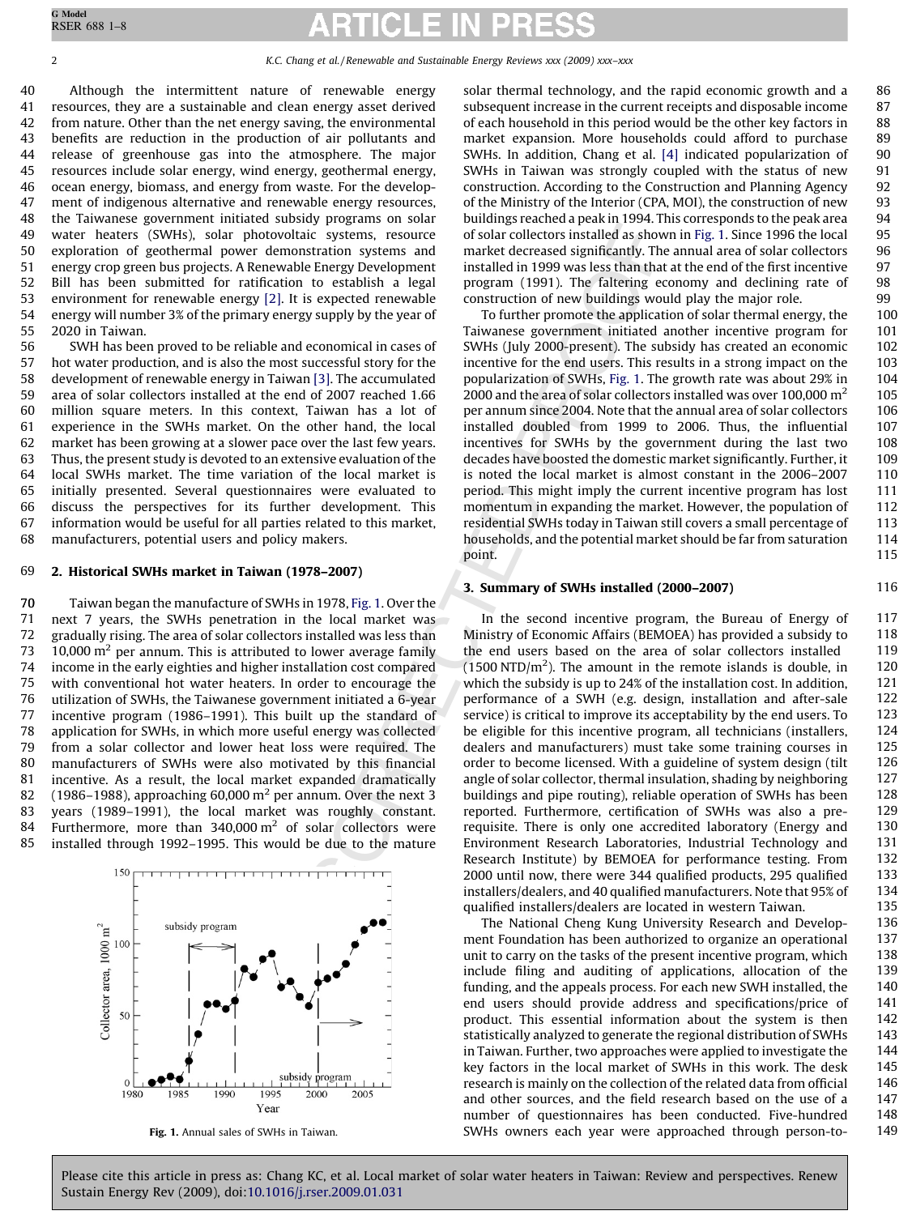Although the intermittent nature of renewable energy resources, they are a sustainable and clean energy asset derived from nature. Other than the net energy saving, the environmental benefits are reduction in the production of air pollutants and release of greenhouse gas into the atmosphere. The major resources include solar energy, wind energy, geothermal energy, ocean energy, biomass, and energy from waste. For the development of indigenous alternative and renewable energy resources, the Taiwanese government initiated subsidy programs on solar water heaters (SWHs), solar photovoltaic systems, resource exploration of geothermal power demonstration systems and energy crop green bus projects. A Renewable Energy Development Bill has been submitted for ratification to establish a legal environment for renewable energy [2]. It is expected renewable energy will number 3% of the primary energy supply by the year of 2020 in Taiwan. 40 41 42 43 44 45 46 47 48 49 50 51 52 53 54 55

SWH has been proved to be reliable and economical in cases of hot water production, and is also the most successful story for the development of renewable energy in Taiwan [3]. The accumulated area of solar collectors installed at the end of 2007 reached 1.66 million square meters. In this context, Taiwan has a lot of experience in the SWHs market. On the other hand, the local market has been growing at a slower pace over the last few years. Thus, the present study is devoted to an extensive evaluation of the local SWHs market. The time variation of the local market is initially presented. Several questionnaires were evaluated to discuss the perspectives for its further development. This information would be useful for all parties related to this market, manufacturers, potential users and policy makers. 56 57 58 59 60 61 62 63 64 65 66 67 68

#### 2. Historical SWHs market in Taiwan (1978–2007) 69

Taiwan began the manufacture of SWHs in 1978, Fig. 1. Over the next 7 years, the SWHs penetration in the local market was gradually rising. The area of solar collectors installed was less than  $10,000$  m<sup>2</sup> per annum. This is attributed to lower average family income in the early eighties and higher installation cost compared with conventional hot water heaters. In order to encourage the utilization of SWHs, the Taiwanese government initiated a 6-year incentive program (1986–1991). This built up the standard of application for SWHs, in which more useful energy was collected from a solar collector and lower heat loss were required. The manufacturers of SWHs were also motivated by this financial incentive. As a result, the local market expanded dramatically (1986–1988), approaching 60,000 m<sup>2</sup> per annum. Over the next 3 years (1989–1991), the local market was roughly constant. Furthermore, more than  $340,000 \text{ m}^2$  of solar collectors were installed through 1992–1995. This would be due to the mature 70 71 72 73 74 75 76 77 78 79 80 81 82 83 84 85



solar thermal technology, and the rapid economic growth and a subsequent increase in the current receipts and disposable income of each household in this period would be the other key factors in market expansion. More households could afford to purchase SWHs. In addition, Chang et al. [\[4\]](#page-7-0) indicated popularization of SWHs in Taiwan was strongly coupled with the status of new construction. According to the Construction and Planning Agency of the Ministry of the Interior (CPA, MOI), the construction of new buildings reached a peak in 1994. This corresponds to the peak area of solar collectors installed as shown in Fig. 1. Since 1996 the local market decreased significantly. The annual area of solar collectors installed in 1999 was less than that at the end of the first incentive program (1991). The faltering economy and declining rate of construction of new buildings would play the major role. 86 87 88 89 90 91 92 93 94 95 96 97 98 99

116

To further promote the application of solar thermal energy, the Taiwanese government initiated another incentive program for SWHs (July 2000-present). The subsidy has created an economic incentive for the end users. This results in a strong impact on the popularization of SWHs, Fig. 1. The growth rate was about 29% in 2000 and the area of solar collectors installed was over 100,000  $m<sup>2</sup>$ per annum since 2004. Note that the annual area of solar collectors installed doubled from 1999 to 2006. Thus, the influential incentives for SWHs by the government during the last two decades have boosted the domestic market significantly. Further, it is noted the local market is almost constant in the 2006–2007 period. This might imply the current incentive program has lost momentum in expanding the market. However, the population of residential SWHs today in Taiwan still covers a small percentage of households, and the potential market should be far from saturation point.

## 3. Summary of SWHs installed (2000–2007)

containts systems, resource of solar collectrons installed as shown<br>envalue for the systems and market decreased significantly. The distribution are<br>whale the regard in the parameteristic contact in the system and the cont In the second incentive program, the Bureau of Energy of Ministry of Economic Affairs (BEMOEA) has provided a subsidy to the end users based on the area of solar collectors installed  $(1500 \text{ NTD/m}^2)$ . The amount in the remote islands is double, in which the subsidy is up to 24% of the installation cost. In addition, performance of a SWH (e.g. design, installation and after-sale service) is critical to improve its acceptability by the end users. To be eligible for this incentive program, all technicians (installers, dealers and manufacturers) must take some training courses in order to become licensed. With a guideline of system design (tilt angle of solar collector, thermal insulation, shading by neighboring buildings and pipe routing), reliable operation of SWHs has been reported. Furthermore, certification of SWHs was also a prerequisite. There is only one accredited laboratory (Energy and Environment Research Laboratories, Industrial Technology and Research Institute) by BEMOEA for performance testing. From 2000 until now, there were 344 qualified products, 295 qualified installers/dealers, and 40 qualified manufacturers. Note that 95% of qualified installers/dealers are located in western Taiwan. 117 118 119 120 121 122 123 124 125 126 127 128 129 130 131 132 133 134 135

The National Cheng Kung University Research and Development Foundation has been authorized to organize an operational unit to carry on the tasks of the present incentive program, which include filing and auditing of applications, allocation of the funding, and the appeals process. For each new SWH installed, the end users should provide address and specifications/price of product. This essential information about the system is then statistically analyzed to generate the regional distribution of SWHs in Taiwan. Further, two approaches were applied to investigate the key factors in the local market of SWHs in this work. The desk research is mainly on the collection of the related data from official and other sources, and the field research based on the use of a number of questionnaires has been conducted. Five-hundred SWHs owners each year were approached through person-to-Fig. 1. Annual sales of SWHs in Taiwan. 149 136 137 138 139 140 141 142 143 144 145 146 147 148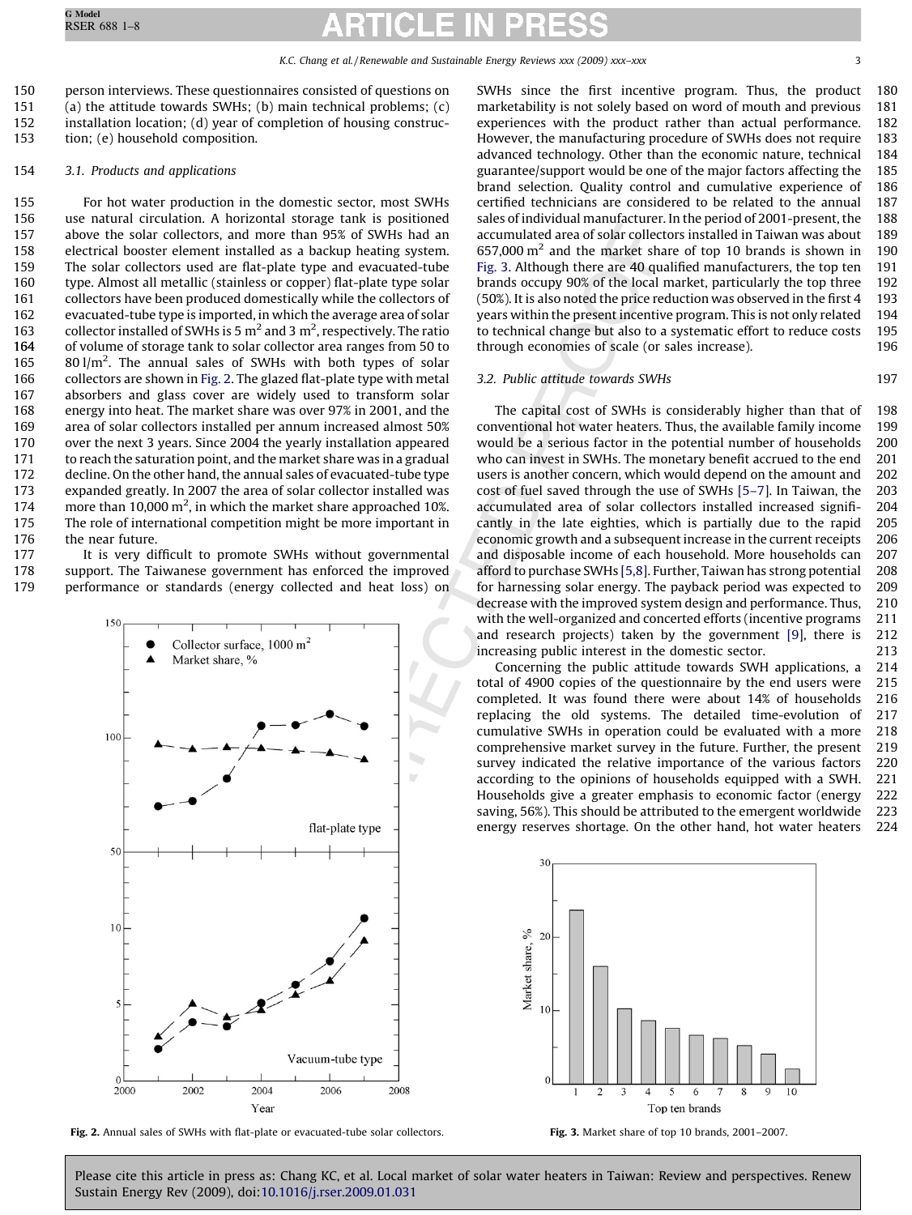person interviews. These questionnaires consisted of questions on (a) the attitude towards SWHs; (b) main technical problems; (c) installation location; (d) year of completion of housing construction; (e) household composition. 150 151 152 153

#### 3.1. Products and applications 154

For hot water production in the domestic sector, most SWHs use natural circulation. A horizontal storage tank is positioned above the solar collectors, and more than 95% of SWHs had an electrical booster element installed as a backup heating system. The solar collectors used are flat-plate type and evacuated-tube type. Almost all metallic (stainless or copper) flat-plate type solar collectors have been produced domestically while the collectors of evacuated-tube type is imported, in which the average area of solar collector installed of SWHs is 5  $\mathrm{m}^2$  and 3  $\mathrm{m}^2$ , respectively. The ratio of volume of storage tank to solar collector area ranges from 50 to  $80 \frac{1}{m^2}$ . The annual sales of SWHs with both types of solar collectors are shown in Fig. 2. The glazed flat-plate type with metal absorbers and glass cover are widely used to transform solar energy into heat. The market share was over 97% in 2001, and the area of solar collectors installed per annum increased almost 50% over the next 3 years. Since 2004 the yearly installation appeared to reach the saturation point, and the market share was in a gradual decline. On the other hand, the annual sales of evacuated-tube type expanded greatly. In 2007 the area of solar collector installed was more than 10,000 m<sup>2</sup>, in which the market share approached 10%. The role of international competition might be more important in the near future. 155 156 157 158 159 160 161 162 163 164 165 166 167 168 169 170 171 172 173 174 175 176

It is very difficult to promote SWHs without governmental support. The Taiwanese government has enforced the improved performance or standards (energy collected and heat loss) on 177 178 179



Fig. 2. Annual sales of SWHs with flat-plate or evacuated-tube solar collectors. Fig. 3. Market share of top 10 brands, 2001–2007.

SWHs since the first incentive program. Thus, the product marketability is not solely based on word of mouth and previous experiences with the product rather than actual performance. However, the manufacturing procedure of SWHs does not require advanced technology. Other than the economic nature, technical guarantee/support would be one of the major factors affecting the brand selection. Quality control and cumulative experience of certified technicians are considered to be related to the annual sales of individual manufacturer. In the period of 2001-present, the accumulated area of solar collectors installed in Taiwan was about  $657,000$  m<sup>2</sup> and the market share of top 10 brands is shown in Fig. 3. Although there are 40 qualified manufacturers, the top ten brands occupy 90% of the local market, particularly the top three (50%). It is also noted the price reduction was observed in the first 4 years within the present incentive program. This is not only related to technical change but also to a systematic effort to reduce costs through economies of scale (or sales increase). 180 181 182 183 184 185 186 187 188 189 190 191 192 193 194 195 196

### 3.2. Public attitude towards SWHs

The capital cost of SWHs is considerably higher than that of conventional hot water heaters. Thus, the available family income would be a serious factor in the potential number of households who can invest in SWHs. The monetary benefit accrued to the end users is another concern, which would depend on the amount and cost of fuel saved through the use of SWHs [\[5–7\]](#page-7-0). In Taiwan, the accumulated area of solar collectors installed increased significantly in the late eighties, which is partially due to the rapid economic growth and a subsequent increase in the current receipts and disposable income of each household. More households can afford to purchase SWHs [5,8]. Further, Taiwan has strong potential for harnessing solar energy. The payback period was expected to decrease with the improved system design and performance. Thus, with the well-organized and concerted efforts (incentive programs and research projects) taken by the government [\[9\],](#page-7-0) there is increasing public interest in the domestic sector. 198 199 200 201 202 203 204 205 206 207 208 209 210 211 212 213

Concerning the public attitude towards SWH applications, a total of 4900 copies of the questionnaire by the end users were completed. It was found there were about 14% of households replacing the old systems. The detailed time-evolution of cumulative SWHs in operation could be evaluated with a more comprehensive market survey in the future. Further, the present survey indicated the relative importance of the various factors according to the opinions of households equipped with a SWH. Households give a greater emphasis to economic factor (energy saving, 56%). This should be attributed to the emergent worldwide energy reserves shortage. On the other hand, hot water heaters 214 215 216 217 218 219 220 221 222 223 224

 $10$  $\overline{2}$ 3 1 Top ten brands

Please cite this article in press as: Chang KC, et al. Local market of solar water heaters in Taiwan: Review and perspectives. Renew Sustain Energy Rev (2009), doi[:10.1016/j.rser.2009.01.031](http://dx.doi.org/10.1016/j.rser.2009.01.031)

197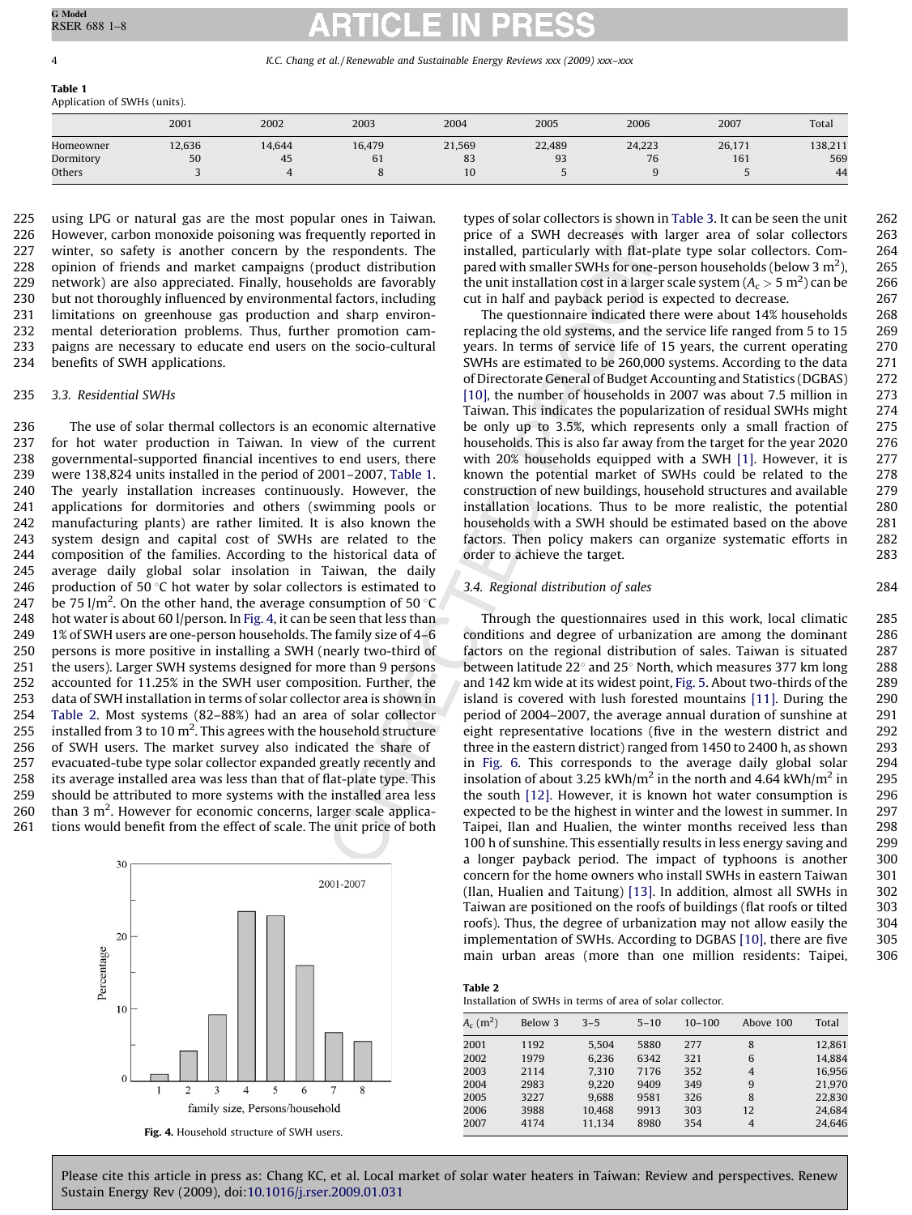### <span id="page-3-0"></span>Table 1 Application of SWHs (units).

|           | 2001   | 2002   | 2003   | 2004   | 2005   | 2006   | 2007   | Total   |
|-----------|--------|--------|--------|--------|--------|--------|--------|---------|
| Homeowner | 12,636 | 14,644 | 16,479 | 21,569 | 22,489 | 24,223 | 26,171 | 138,211 |
| Dormitory | 50     | 45     | 61     | 83     | 93     | 76     | 161    | 569     |
| Others    |        |        |        | 10     |        |        |        | 44      |

using LPG or natural gas are the most popular ones in Taiwan. However, carbon monoxide poisoning was frequently reported in winter, so safety is another concern by the respondents. The opinion of friends and market campaigns (product distribution network) are also appreciated. Finally, households are favorably but not thoroughly influenced by environmental factors, including limitations on greenhouse gas production and sharp environmental deterioration problems. Thus, further promotion campaigns are necessary to educate end users on the socio-cultural benefits of SWH applications. 225 226 227 228 229 230 231 232 233 234

#### 3.3. Residential SWHs 235

Ing was frequently reported in<br>
tien of a SWH decrease with<br>
employing the spondents. The instead operation particle of a SWH decrease with<br>the publishy induction particle of a SWH decrease with smaller SWHs for one-putro The use of solar thermal collectors is an economic alternative for hot water production in Taiwan. In view of the current governmental-supported financial incentives to end users, there were 138,824 units installed in the period of 2001–2007, Table 1. The yearly installation increases continuously. However, the applications for dormitories and others (swimming pools or manufacturing plants) are rather limited. It is also known the system design and capital cost of SWHs are related to the composition of the families. According to the historical data of average daily global solar insolation in Taiwan, the daily production of 50 $\degree$ C hot water by solar collectors is estimated to be 75 l/m<sup>2</sup>. On the other hand, the average consumption of 50  $\degree$ C hot water is about 60 l/person. In Fig. 4, it can be seen that less than 1% of SWH users are one-person households. The family size of 4–6 persons is more positive in installing a SWH (nearly two-third of the users). Larger SWH systems designed for more than 9 persons accounted for 11.25% in the SWH user composition. Further, the data of SWH installation in terms of solar collector area is shown in Table 2. Most systems (82–88%) had an area of solar collector installed from 3 to 10  $m^2$ . This agrees with the household structure of SWH users. The market survey also indicated the share of evacuated-tube type solar collector expanded greatly recently and its average installed area was less than that of flat-plate type. This should be attributed to more systems with the installed area less than  $3 \text{ m}^2$ . However for economic concerns, larger scale applications would benefit from the effect of scale. The unit price of both 236 237 238 239 240 241 242 243 244 245 246 247 248 249 250 251 252 253 254 255 256 257 258 259 260 261



types of solar collectors is shown in [Table 3](#page-4-0). It can be seen the unit price of a SWH decreases with larger area of solar collectors installed, particularly with flat-plate type solar collectors. Compared with smaller SWHs for one-person households (below 3  $m<sup>2</sup>$ ), the unit installation cost in a larger scale system ( $A_c > 5 \text{ m}^2$ ) can be cut in half and payback period is expected to decrease.

284

The questionnaire indicated there were about 14% households replacing the old systems, and the service life ranged from 5 to 15 years. In terms of service life of 15 years, the current operating SWHs are estimated to be 260,000 systems. According to the data of Directorate General of Budget Accounting and Statistics (DGBAS) [10], the number of households in 2007 was about 7.5 million in Taiwan. This indicates the popularization of residual SWHs might be only up to 3.5%, which represents only a small fraction of households. This is also far away from the target for the year 2020 with 20% households equipped with a SWH [\[1\]](#page-7-0). However, it is known the potential market of SWHs could be related to the construction of new buildings, household structures and available installation locations. Thus to be more realistic, the potential households with a SWH should be estimated based on the above factors. Then policy makers can organize systematic efforts in order to achieve the target. 268 269 270 271 272 273 274 275 276 277 278 279 280 281 282 283

## 3.4. Regional distribution of sales

Through the questionnaires used in this work, local climatic conditions and degree of urbanization are among the dominant factors on the regional distribution of sales. Taiwan is situated between latitude  $22^{\circ}$  and  $25^{\circ}$  North, which measures 377 km long and 142 km wide at its widest point, [Fig. 5](#page-4-0). About two-thirds of the island is covered with lush forested mountains [\[11\]](#page-7-0). During the period of 2004–2007, the average annual duration of sunshine at eight representative locations (five in the western district and three in the eastern district) ranged from 1450 to 2400 h, as shown in Fig. 6. This corresponds to the average daily global solar insolation of about 3.25 kWh/m<sup>2</sup> in the north and 4.64 kWh/m<sup>2</sup> in the south [12]. However, it is known hot water consumption is expected to be the highest in winter and the lowest in summer. In Taipei, Ilan and Hualien, the winter months received less than 100 h of sunshine. This essentially results in less energy saving and a longer payback period. The impact of typhoons is another concern for the home owners who install SWHs in eastern Taiwan (Ilan, Hualien and Taitung) [13]. In addition, almost all SWHs in Taiwan are positioned on the roofs of buildings (flat roofs or tilted roofs). Thus, the degree of urbanization may not allow easily the implementation of SWHs. According to DGBAS [\[10\],](#page-7-0) there are five main urban areas (more than one million residents: Taipei, 285 286 287 288 289 290 291 292 293 294 295 296 297 298 299 300 301 302 303 304 305 306

### Table 2

Installation of SWHs in terms of area of solar collector.

| $A_c$ (m <sup>2</sup> ) | Below 3 | $3 - 5$ | $5 - 10$ | $10 - 100$ | Above 100      | Total  |
|-------------------------|---------|---------|----------|------------|----------------|--------|
| 2001                    | 1192    | 5.504   | 5880     | 277        | 8              | 12,861 |
| 2002                    | 1979    | 6,236   | 6342     | 321        | 6              | 14.884 |
| 2003                    | 2114    | 7,310   | 7176     | 352        | $\overline{4}$ | 16.956 |
| 2004                    | 2983    | 9,220   | 9409     | 349        | 9              | 21.970 |
| 2005                    | 3227    | 9.688   | 9581     | 326        | 8              | 22.830 |
| 2006                    | 3988    | 10.468  | 9913     | 303        | 12             | 24.684 |
| 2007                    | 4174    | 11,134  | 8980     | 354        | 4              | 24,646 |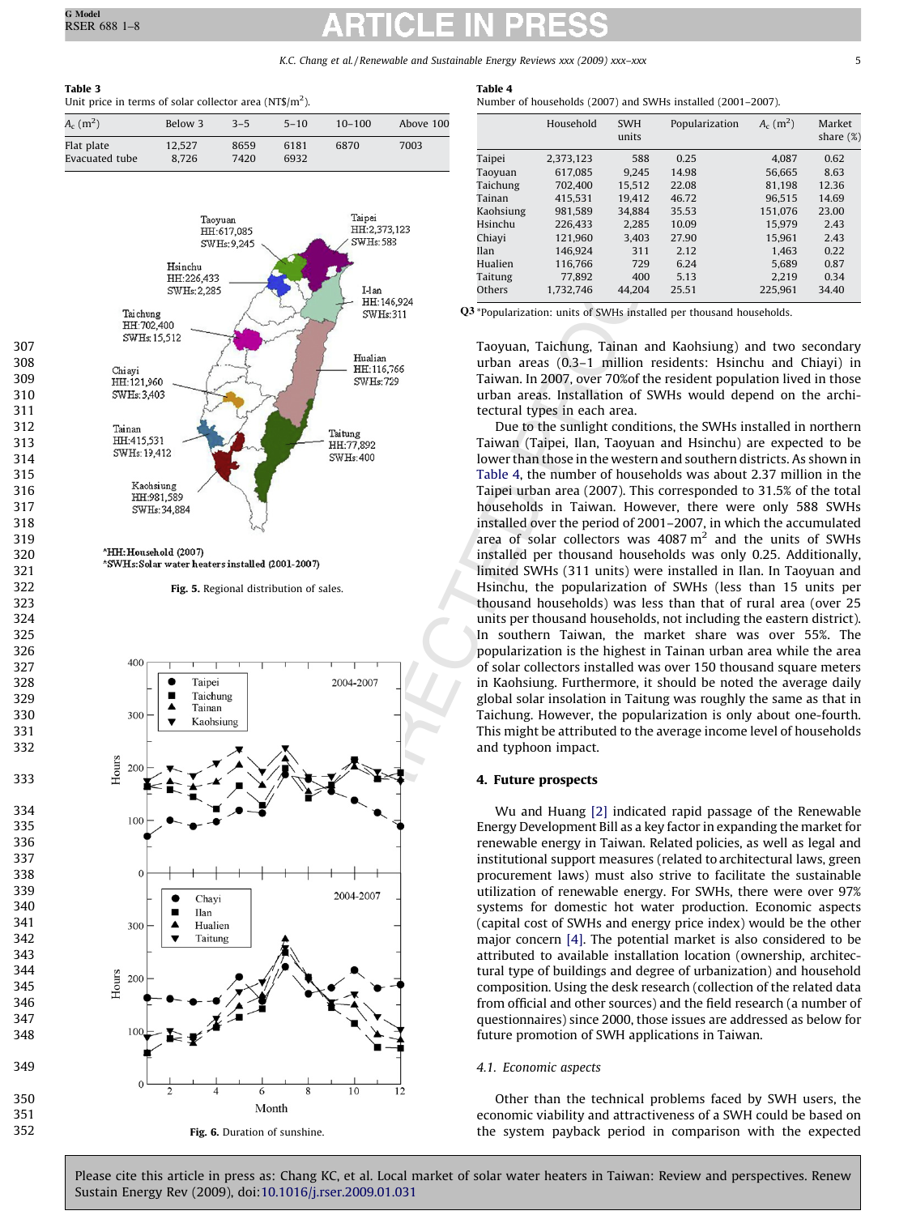<span id="page-4-0"></span>

| ш<br>U |  |
|--------|--|
|--------|--|

349

350 351 352 Unit price in terms of solar collector area (NT\$/m<sup>2</sup>).

| $A_c$ (m <sup>2</sup> )      | Below 3         | $3 - 5$      | $5 - 10$     | $10 - 100$ | Above 100 |
|------------------------------|-----------------|--------------|--------------|------------|-----------|
| Flat plate<br>Evacuated tube | 12.527<br>8.726 | 8659<br>7420 | 6181<br>6932 | 6870       | 7003      |



\*HH: Household (2007)

Fig. 5. Regional distribution of sales.



## Table 4

Number of households (2007) and SWHs installed (2001–2007).

|           | Household | <b>SWH</b><br>units | Popularization | $A_c$ (m <sup>2</sup> ) | Market<br>share $(\%)$ |
|-----------|-----------|---------------------|----------------|-------------------------|------------------------|
| Taipei    | 2.373.123 | 588                 | 0.25           | 4.087                   | 0.62                   |
| Taoyuan   | 617.085   | 9.245               | 14.98          | 56.665                  | 8.63                   |
| Taichung  | 702.400   | 15.512              | 22.08          | 81.198                  | 12.36                  |
| Tainan    | 415.531   | 19.412              | 46.72          | 96.515                  | 14.69                  |
| Kaohsiung | 981.589   | 34.884              | 35.53          | 151.076                 | 23.00                  |
| Hsinchu   | 226.433   | 2.285               | 10.09          | 15.979                  | 2.43                   |
| Chiayi    | 121.960   | 3.403               | 27.90          | 15.961                  | 2.43                   |
| Ilan      | 146.924   | 311                 | 2.12           | 1.463                   | 0.22                   |
| Hualien   | 116.766   | 729                 | 6.24           | 5.689                   | 0.87                   |
| Taitung   | 77.892    | 400                 | 5.13           | 2.219                   | 0.34                   |
| Others    | 1.732.746 | 44.204              | 25.51          | 225.961                 | 34.40                  |

Q3 \*Popularization: units of SWHs installed per thousand households.

Taoyuan, Taichung, Tainan and Kaohsiung) and two secondary urban areas (0.3–1 million residents: Hsinchu and Chiayi) in Taiwan. In 2007, over 70%of the resident population lived in those urban areas. Installation of SWHs would depend on the architectural types in each area.

Due to the sunlight conditions, the SWHs installed in northern Taiwan (Taipei, Ilan, Taoyuan and Hsinchu) are expected to be lower than those in the western and southern districts. As shown in Table 4, the number of households was about 2.37 million in the Taipei urban area (2007). This corresponded to 31.5% of the total households in Taiwan. However, there were only 588 SWHs installed over the period of 2001–2007, in which the accumulated area of solar collectors was  $4087 \text{ m}^2$  and the units of SWHs installed per thousand households was only 0.25. Additionally, limited SWHs (311 units) were installed in Ilan. In Taoyuan and Hsinchu, the popularization of SWHs (less than 15 units per thousand households) was less than that of rural area (over 25 units per thousand households, not including the eastern district). In southern Taiwan, the market share was over 55%. The popularization is the highest in Tainan urban area while the area of solar collectors installed was over 150 thousand square meters in Kaohsiung. Furthermore, it should be noted the average daily global solar insolation in Taitung was roughly the same as that in Taichung. However, the popularization is only about one-fourth. This might be attributed to the average income level of households and typhoon impact.

## 4. Future prospects

Wu and Huang [2] indicated rapid passage of the Renewable Energy Development Bill as a key factor in expanding the market for renewable energy in Taiwan. Related policies, as well as legal and institutional support measures (related to architectural laws, green procurement laws) must also strive to facilitate the sustainable utilization of renewable energy. For SWHs, there were over 97% systems for domestic hot water production. Economic aspects (capital cost of SWHs and energy price index) would be the other major concern [4]. The potential market is also considered to be attributed to available installation location (ownership, architectural type of buildings and degree of urbanization) and household composition. Using the desk research (collection of the related data from official and other sources) and the field research (a number of questionnaires) since 2000, those issues are addressed as below for future promotion of SWH applications in Taiwan.

### 4.1. Economic aspects

Other than the technical problems faced by SWH users, the economic viability and attractiveness of a SWH could be based on the system payback period in comparison with the expected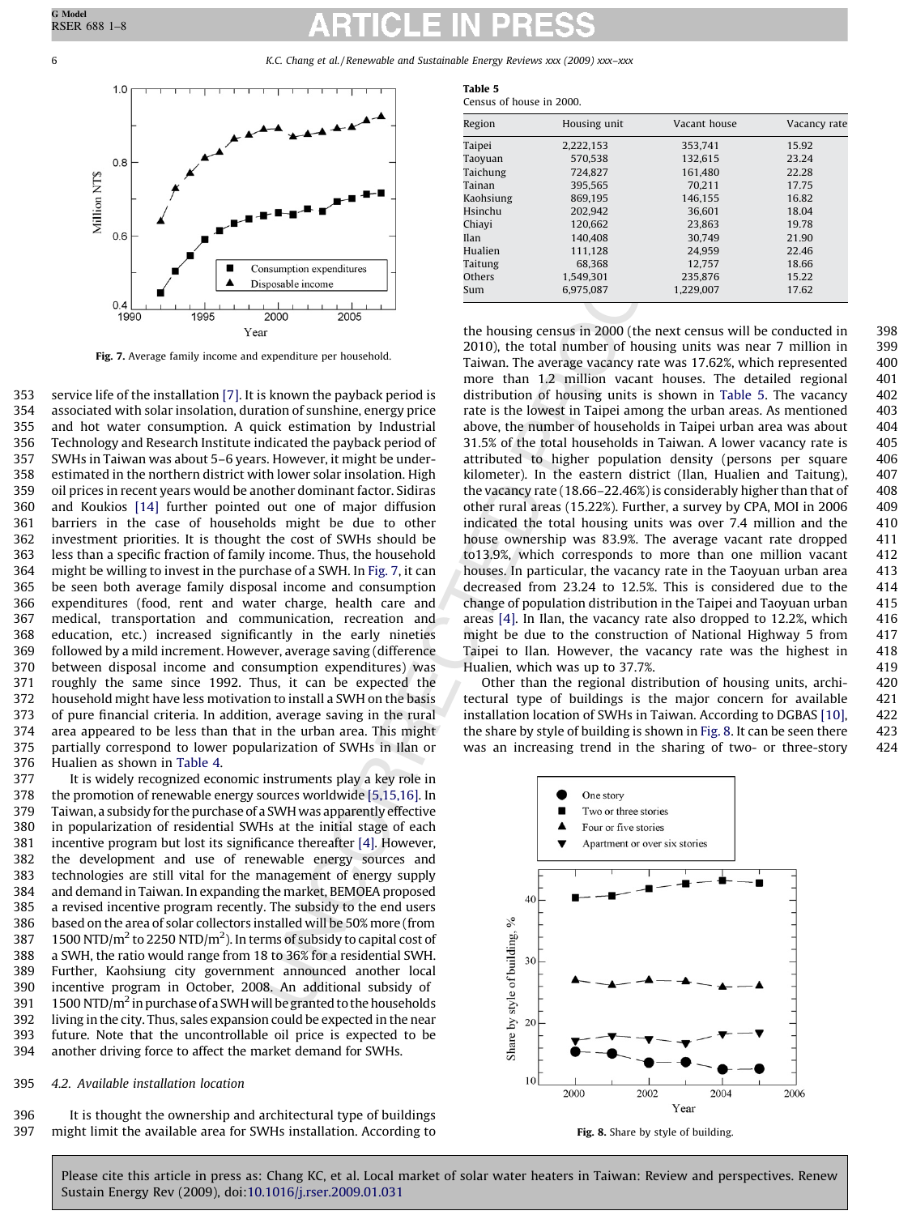

Fig. 7. Average family income and expenditure per household.

service life of the installation [\[7\]](#page-7-0). It is known the payback period is associated with solar insolation, duration of sunshine, energy price and hot water consumption. A quick estimation by Industrial Technology and Research Institute indicated the payback period of SWHs in Taiwan was about 5–6 years. However, it might be underestimated in the northern district with lower solar insolation. High oil prices in recent years would be another dominant factor. Sidiras and Koukios [\[14\]](#page-7-0) further pointed out one of major diffusion barriers in the case of households might be due to other investment priorities. It is thought the cost of SWHs should be less than a specific fraction of family income. Thus, the household might be willing to invest in the purchase of a SWH. In Fig. 7, it can be seen both average family disposal income and consumption expenditures (food, rent and water charge, health care and medical, transportation and communication, recreation and education, etc.) increased significantly in the early nineties followed by a mild increment. However, average saving (difference between disposal income and consumption expenditures) was roughly the same since 1992. Thus, it can be expected the household might have less motivation to install a SWH on the basis of pure financial criteria. In addition, average saving in the rural area appeared to be less than that in the urban area. This might partially correspond to lower popularization of SWHs in Ilan or Hualien as shown in [Table 4.](#page-4-0) 353 354 355 356 357 358 359 360 361 362 363 364 365 366 367 368 369 370 371 372 373 374 375 376

It is widely recognized economic instruments play a key role in the promotion of renewable energy sources worldwide [5,15,16]. In Taiwan, a subsidy for the purchase of a SWH was apparently effective in popularization of residential SWHs at the initial stage of each incentive program but lost its significance thereafter [4]. However, the development and use of renewable energy sources and technologies are still vital for the management of energy supply and demand in Taiwan. In expanding the market, BEMOEA proposed a revised incentive program recently. The subsidy to the end users based on the area of solar collectors installed will be 50% more (from 1500 NTD/ $m^2$  to 2250 NTD/ $m^2$ ). In terms of subsidy to capital cost of a SWH, the ratio would range from 18 to 36% for a residential SWH. Further, Kaohsiung city government announced another local incentive program in October, 2008. An additional subsidy of 1500 NTD/ $m<sup>2</sup>$  in purchase of a SWH will be granted to the households living in the city. Thus, sales expansion could be expected in the near future. Note that the uncontrollable oil price is expected to be another driving force to affect the market demand for SWHs. 377 378 379 380 381 382 383 384 385 386 387 388 389 390 391 392 393 394

#### 4.2. Available installation location 395

It is thought the ownership and architectural type of buildings might limit the available area for SWHs installation. According to 396 397

| Table 5                  |  |
|--------------------------|--|
| Census of house in 2000. |  |

| Region    | Housing unit | Vacant house | Vacancy rate |
|-----------|--------------|--------------|--------------|
|           |              |              |              |
| Taipei    | 2,222,153    | 353.741      | 15.92        |
| Taoyuan   | 570.538      | 132.615      | 23.24        |
| Taichung  | 724.827      | 161.480      | 22.28        |
| Tainan    | 395.565      | 70.211       | 17.75        |
| Kaohsiung | 869.195      | 146.155      | 16.82        |
| Hsinchu   | 202.942      | 36.601       | 18.04        |
| Chiavi    | 120.662      | 23.863       | 19.78        |
| Ilan      | 140,408      | 30.749       | 21.90        |
| Hualien   | 111.128      | 24.959       | 22.46        |
| Taitung   | 68,368       | 12.757       | 18.66        |
| Others    | 1.549.301    | 235.876      | 15.22        |
| Sum       | 6.975.087    | 1.229.007    | 17.62        |

**Example the set of the set of the set of the set of the set of the set of the set of the set of the set of the set of the set of the set of the set of the set of the set of the set of the set of the set of the set of the** the housing census in 2000 (the next census will be conducted in 2010), the total number of housing units was near 7 million in Taiwan. The average vacancy rate was 17.62%, which represented more than 1.2 million vacant houses. The detailed regional distribution of housing units is shown in Table 5. The vacancy rate is the lowest in Taipei among the urban areas. As mentioned above, the number of households in Taipei urban area was about 31.5% of the total households in Taiwan. A lower vacancy rate is attributed to higher population density (persons per square kilometer). In the eastern district (Ilan, Hualien and Taitung), the vacancy rate (18.66–22.46%) is considerably higher than that of other rural areas (15.22%). Further, a survey by CPA, MOI in 2006 indicated the total housing units was over 7.4 million and the house ownership was 83.9%. The average vacant rate dropped to13.9%, which corresponds to more than one million vacant houses. In particular, the vacancy rate in the Taoyuan urban area decreased from 23.24 to 12.5%. This is considered due to the change of population distribution in the Taipei and Taoyuan urban areas [4]. In Ilan, the vacancy rate also dropped to 12.2%, which might be due to the construction of National Highway 5 from Taipei to Ilan. However, the vacancy rate was the highest in Hualien, which was up to 37.7%.

Other than the regional distribution of housing units, architectural type of buildings is the major concern for available installation location of SWHs in Taiwan. According to DGBAS [\[10\],](#page-7-0) the share by style of building is shown in Fig. 8. It can be seen there was an increasing trend in the sharing of two- or three-story



Fig. 8. Share by style of building.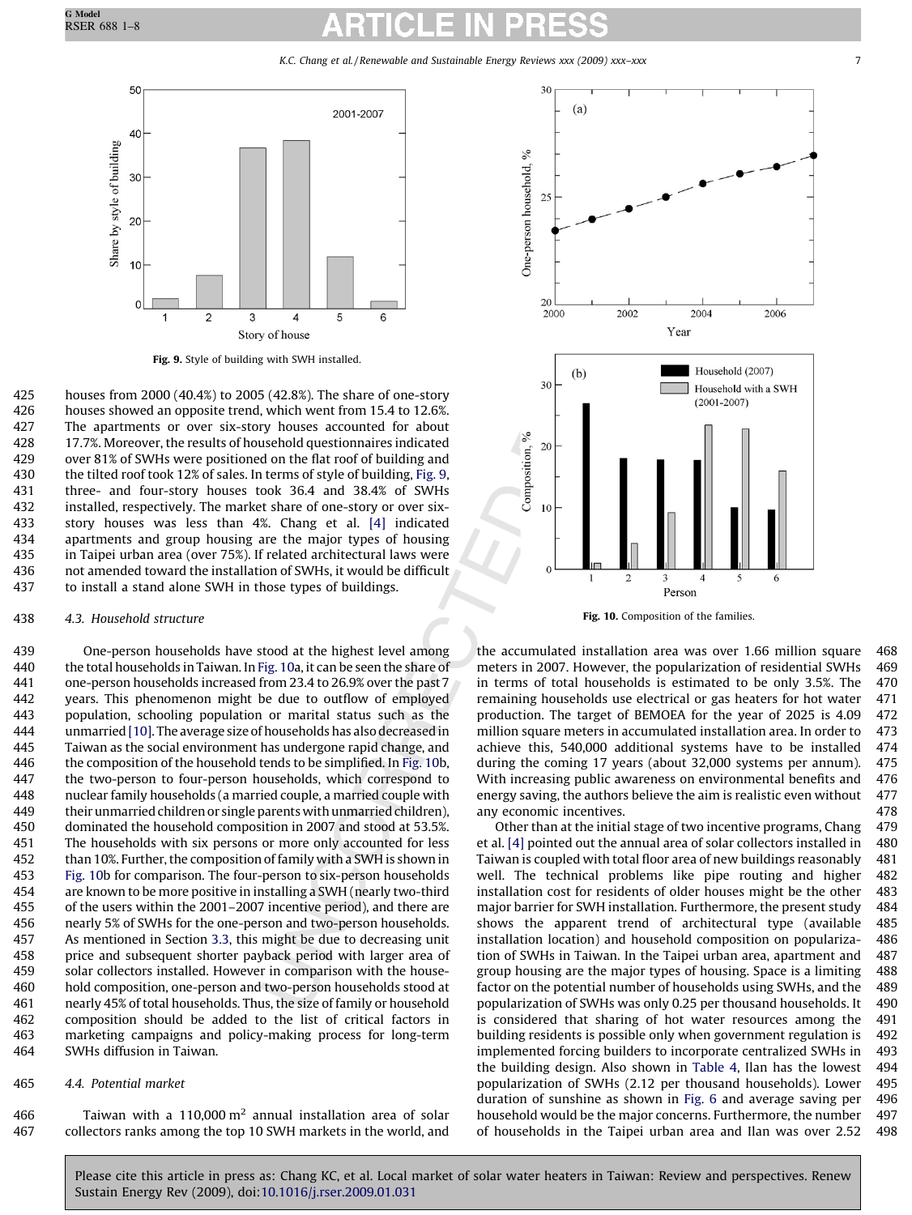K.C. Chang et al. / Renewable and Sustainable Energy Reviews xxx (2009) xxx-xxx



Fig. 9. Style of building with SWH installed.

houses from 2000 (40.4%) to 2005 (42.8%). The share of one-story houses showed an opposite trend, which went from 15.4 to 12.6%. The apartments or over six-story houses accounted for about 17.7%. Moreover, the results of household questionnaires indicated over 81% of SWHs were positioned on the flat roof of building and the tilted roof took 12% of sales. In terms of style of building, Fig. 9, three- and four-story houses took 36.4 and 38.4% of SWHs installed, respectively. The market share of one-story or over sixstory houses was less than 4%. Chang et al. [4] indicated apartments and group housing are the major types of housing in Taipei urban area (over 75%). If related architectural laws were not amended toward the installation of SWHs, it would be difficult to install a stand alone SWH in those types of buildings. 425 426 427 428 429 430 431 432 433 434 435 436 437

#### 4.3. Household structure 438

**Example 18 and 18 and 18 and 18 and 18 and 18 and 18 and 18 and 18 and 18 and 18 and 18 and 18 and 18 and 18 and 18 and 18 and 18 and 18 and 18 and 18 and 18 and 18 and 18 and 18 and 18 and 18 and 18 and 18 and 18 and 18** One-person households have stood at the highest level among the total households in Taiwan. In Fig. 10a, it can be seen the share of one-person households increased from 23.4 to 26.9% over the past 7 years. This phenomenon might be due to outflow of employed population, schooling population or marital status such as the unmarried [\[10\]](#page-7-0). The average size of households has also decreased in Taiwan as the social environment has undergone rapid change, and the composition of the household tends to be simplified. In Fig. 10b, the two-person to four-person households, which correspond to nuclear family households (a married couple, a married couple with their unmarried children or single parents with unmarried children), dominated the household composition in 2007 and stood at 53.5%. The households with six persons or more only accounted for less than 10%. Further, the composition of family with a SWH is shown in Fig. 10b for comparison. The four-person to six-person households are known to be more positive in installing a SWH (nearly two-third of the users within the 2001–2007 incentive period), and there are nearly 5% of SWHs for the one-person and two-person households. As mentioned in Section [3.3,](#page-3-0) this might be due to decreasing unit price and subsequent shorter payback period with larger area of solar collectors installed. However in comparison with the household composition, one-person and two-person households stood at nearly 45% of total households. Thus, the size of family or household composition should be added to the list of critical factors in marketing campaigns and policy-making process for long-term SWHs diffusion in Taiwan. 439 440 441 442 443 444 445 446 447 448 449 450 451 452 453 454 455 456 457 458 459 460 461 462 463 464

### 4.4. Potential market 465

Taiwan with a  $110,000 \text{ m}^2$  annual installation area of solar collectors ranks among the top 10 SWH markets in the world, and 466 467



Fig. 10. Composition of the families.

the accumulated installation area was over 1.66 million square meters in 2007. However, the popularization of residential SWHs in terms of total households is estimated to be only 3.5%. The remaining households use electrical or gas heaters for hot water production. The target of BEMOEA for the year of 2025 is 4.09 million square meters in accumulated installation area. In order to achieve this, 540,000 additional systems have to be installed during the coming 17 years (about 32,000 systems per annum). With increasing public awareness on environmental benefits and energy saving, the authors believe the aim is realistic even without any economic incentives. 468 469 470 471 472 473 474 475 476 477 478

Other than at the initial stage of two incentive programs, Chang et al. [4] pointed out the annual area of solar collectors installed in Taiwan is coupled with total floor area of new buildings reasonably well. The technical problems like pipe routing and higher installation cost for residents of older houses might be the other major barrier for SWH installation. Furthermore, the present study shows the apparent trend of architectural type (available installation location) and household composition on popularization of SWHs in Taiwan. In the Taipei urban area, apartment and group housing are the major types of housing. Space is a limiting factor on the potential number of households using SWHs, and the popularization of SWHs was only 0.25 per thousand households. It is considered that sharing of hot water resources among the building residents is possible only when government regulation is implemented forcing builders to incorporate centralized SWHs in the building design. Also shown in [Table 4,](#page-4-0) Ilan has the lowest popularization of SWHs (2.12 per thousand households). Lower duration of sunshine as shown in [Fig. 6](#page-4-0) and average saving per household would be the major concerns. Furthermore, the number of households in the Taipei urban area and Ilan was over 2.52 479 480 481 482 483 484 485 486 487 488 489 490 491 492 493 494 495 496 497 498